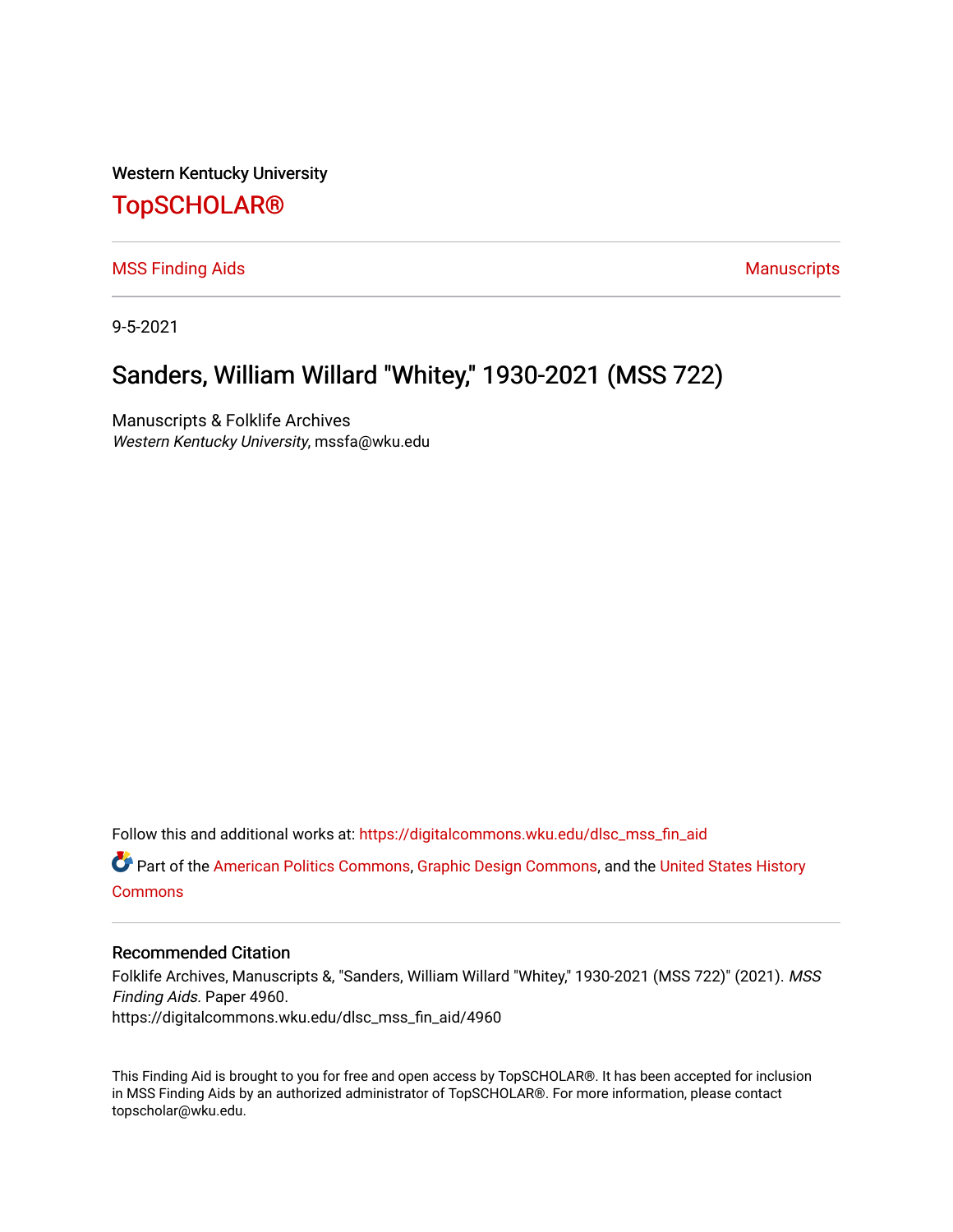Western Kentucky University

## [TopSCHOLAR®](https://digitalcommons.wku.edu/)

[MSS Finding Aids](https://digitalcommons.wku.edu/dlsc_mss_fin_aid) **Manuscripts** [Manuscripts](https://digitalcommons.wku.edu/dlsc_mss) **Manuscripts** 

9-5-2021

# Sanders, William Willard "Whitey," 1930-2021 (MSS 722)

Manuscripts & Folklife Archives Western Kentucky University, mssfa@wku.edu

Follow this and additional works at: [https://digitalcommons.wku.edu/dlsc\\_mss\\_fin\\_aid](https://digitalcommons.wku.edu/dlsc_mss_fin_aid?utm_source=digitalcommons.wku.edu%2Fdlsc_mss_fin_aid%2F4960&utm_medium=PDF&utm_campaign=PDFCoverPages) 

Part of the [American Politics Commons,](http://network.bepress.com/hgg/discipline/387?utm_source=digitalcommons.wku.edu%2Fdlsc_mss_fin_aid%2F4960&utm_medium=PDF&utm_campaign=PDFCoverPages) [Graphic Design Commons](http://network.bepress.com/hgg/discipline/1134?utm_source=digitalcommons.wku.edu%2Fdlsc_mss_fin_aid%2F4960&utm_medium=PDF&utm_campaign=PDFCoverPages), and the [United States History](http://network.bepress.com/hgg/discipline/495?utm_source=digitalcommons.wku.edu%2Fdlsc_mss_fin_aid%2F4960&utm_medium=PDF&utm_campaign=PDFCoverPages)  **[Commons](http://network.bepress.com/hgg/discipline/495?utm_source=digitalcommons.wku.edu%2Fdlsc_mss_fin_aid%2F4960&utm_medium=PDF&utm_campaign=PDFCoverPages)** 

#### Recommended Citation

Folklife Archives, Manuscripts &, "Sanders, William Willard "Whitey," 1930-2021 (MSS 722)" (2021). MSS Finding Aids. Paper 4960. https://digitalcommons.wku.edu/dlsc\_mss\_fin\_aid/4960

This Finding Aid is brought to you for free and open access by TopSCHOLAR®. It has been accepted for inclusion in MSS Finding Aids by an authorized administrator of TopSCHOLAR®. For more information, please contact topscholar@wku.edu.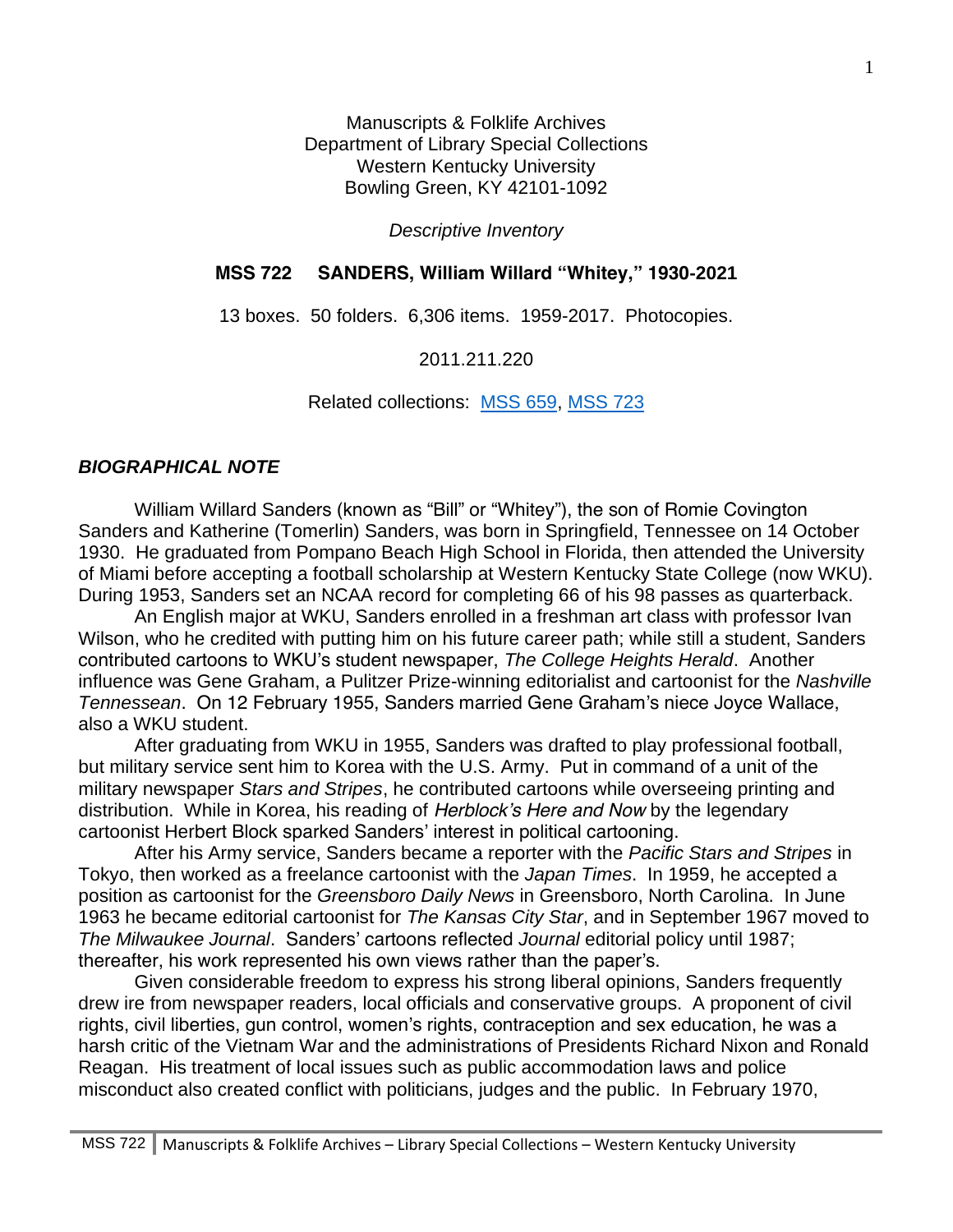Manuscripts & Folklife Archives Department of Library Special Collections Western Kentucky University Bowling Green, KY 42101-1092

*Descriptive Inventory*

## **MSS 722 SANDERS, William Willard "Whitey," 1930-2021**

13 boxes. 50 folders. 6,306 items. 1959-2017. Photocopies.

2011.211.220

Related collections: [MSS 659,](https://digitalcommons.wku.edu/dlsc_mss_fin_aid/4578/) [MSS 723](https://digitalcommons.wku.edu/dlsc_mss_fin_aid/4959)

### *BIOGRAPHICAL NOTE*

William Willard Sanders (known as "Bill" or "Whitey"), the son of Romie Covington Sanders and Katherine (Tomerlin) Sanders, was born in Springfield, Tennessee on 14 October 1930. He graduated from Pompano Beach High School in Florida, then attended the University of Miami before accepting a football scholarship at Western Kentucky State College (now WKU). During 1953, Sanders set an NCAA record for completing 66 of his 98 passes as quarterback.

An English major at WKU, Sanders enrolled in a freshman art class with professor Ivan Wilson, who he credited with putting him on his future career path; while still a student, Sanders contributed cartoons to WKU's student newspaper, *The College Heights Herald*. Another influence was Gene Graham, a Pulitzer Prize-winning editorialist and cartoonist for the *Nashville Tennessean*. On 12 February 1955, Sanders married Gene Graham's niece Joyce Wallace, also a WKU student.

After graduating from WKU in 1955, Sanders was drafted to play professional football, but military service sent him to Korea with the U.S. Army. Put in command of a unit of the military newspaper *Stars and Stripes*, he contributed cartoons while overseeing printing and distribution. While in Korea, his reading of *Herblock's Here and Now* by the legendary cartoonist Herbert Block sparked Sanders' interest in political cartooning.

After his Army service, Sanders became a reporter with the *Pacific Stars and Stripes* in Tokyo, then worked as a freelance cartoonist with the *Japan Times*. In 1959, he accepted a position as cartoonist for the *Greensboro Daily News* in Greensboro, North Carolina. In June 1963 he became editorial cartoonist for *The Kansas City Star*, and in September 1967 moved to *The Milwaukee Journal*. Sanders' cartoons reflected *Journal* editorial policy until 1987; thereafter, his work represented his own views rather than the paper's.

Given considerable freedom to express his strong liberal opinions, Sanders frequently drew ire from newspaper readers, local officials and conservative groups. A proponent of civil rights, civil liberties, gun control, women's rights, contraception and sex education, he was a harsh critic of the Vietnam War and the administrations of Presidents Richard Nixon and Ronald Reagan. His treatment of local issues such as public accommodation laws and police misconduct also created conflict with politicians, judges and the public. In February 1970,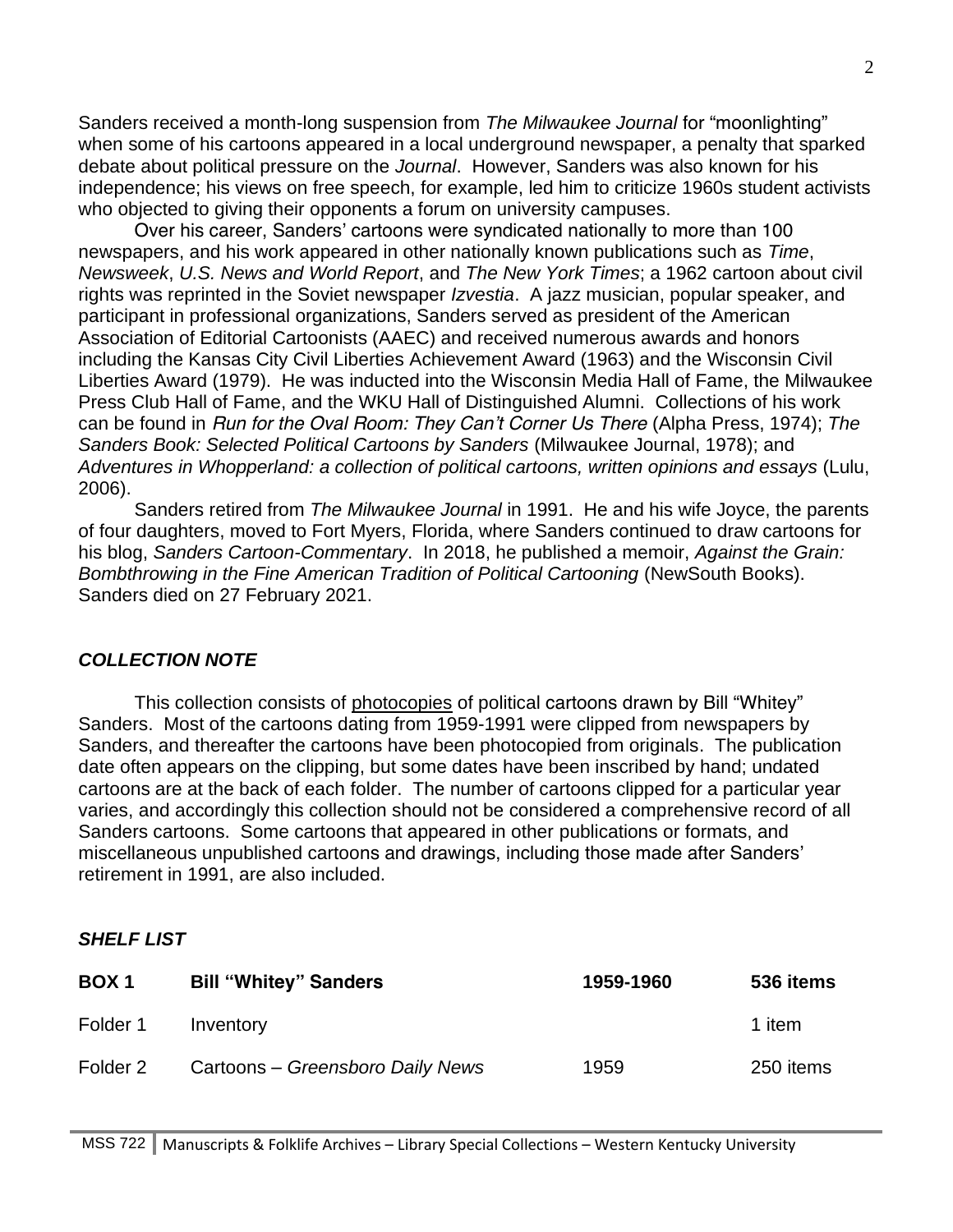Sanders received a month-long suspension from *The Milwaukee Journal* for "moonlighting" when some of his cartoons appeared in a local underground newspaper, a penalty that sparked debate about political pressure on the *Journal*. However, Sanders was also known for his independence; his views on free speech, for example, led him to criticize 1960s student activists who objected to giving their opponents a forum on university campuses.

Over his career, Sanders' cartoons were syndicated nationally to more than 100 newspapers, and his work appeared in other nationally known publications such as *Time*, *Newsweek*, *U.S. News and World Report*, and *The New York Times*; a 1962 cartoon about civil rights was reprinted in the Soviet newspaper *Izvestia*. A jazz musician, popular speaker, and participant in professional organizations, Sanders served as president of the American Association of Editorial Cartoonists (AAEC) and received numerous awards and honors including the Kansas City Civil Liberties Achievement Award (1963) and the Wisconsin Civil Liberties Award (1979). He was inducted into the Wisconsin Media Hall of Fame, the Milwaukee Press Club Hall of Fame, and the WKU Hall of Distinguished Alumni. Collections of his work can be found in *Run for the Oval Room: They Can't Corner Us There* (Alpha Press, 1974); *The Sanders Book: Selected Political Cartoons by Sanders* (Milwaukee Journal, 1978); and *Adventures in Whopperland: a collection of political cartoons, written opinions and essays* (Lulu, 2006).

Sanders retired from *The Milwaukee Journal* in 1991. He and his wife Joyce, the parents of four daughters, moved to Fort Myers, Florida, where Sanders continued to draw cartoons for his blog, *Sanders Cartoon-Commentary*. In 2018, he published a memoir, *Against the Grain: Bombthrowing in the Fine American Tradition of Political Cartooning* (NewSouth Books). Sanders died on 27 February 2021.

#### *COLLECTION NOTE*

This collection consists of photocopies of political cartoons drawn by Bill "Whitey" Sanders. Most of the cartoons dating from 1959-1991 were clipped from newspapers by Sanders, and thereafter the cartoons have been photocopied from originals. The publication date often appears on the clipping, but some dates have been inscribed by hand; undated cartoons are at the back of each folder. The number of cartoons clipped for a particular year varies, and accordingly this collection should not be considered a comprehensive record of all Sanders cartoons. Some cartoons that appeared in other publications or formats, and miscellaneous unpublished cartoons and drawings, including those made after Sanders' retirement in 1991, are also included.

#### *SHELF LIST*

| BOX <sub>1</sub> | <b>Bill "Whitey" Sanders</b>     | 1959-1960 | 536 items |
|------------------|----------------------------------|-----------|-----------|
| Folder 1         | Inventory                        |           | 1 item    |
| Folder 2         | Cartoons – Greensboro Daily News | 1959      | 250 items |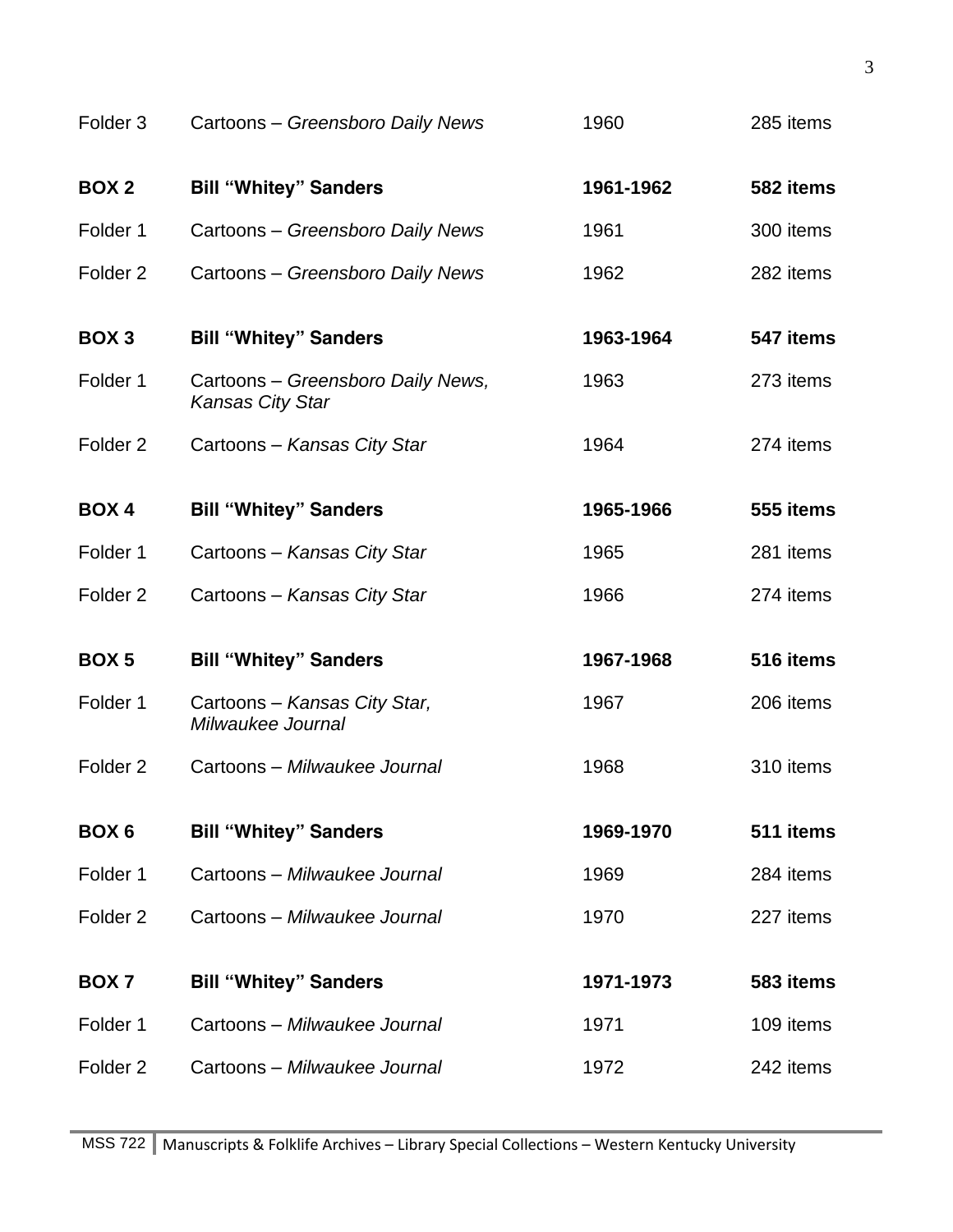| Folder <sub>3</sub> | Cartoons - Greensboro Daily News                      | 1960      | 285 items |
|---------------------|-------------------------------------------------------|-----------|-----------|
| <b>BOX 2</b>        | <b>Bill "Whitey" Sanders</b>                          | 1961-1962 | 582 items |
| Folder 1            | Cartoons - Greensboro Daily News                      | 1961      | 300 items |
| Folder <sub>2</sub> | Cartoons - Greensboro Daily News                      | 1962      | 282 items |
| BOX <sub>3</sub>    | <b>Bill "Whitey" Sanders</b>                          | 1963-1964 | 547 items |
| Folder 1            | Cartoons - Greensboro Daily News,<br>Kansas City Star | 1963      | 273 items |
| Folder <sub>2</sub> | Cartoons - Kansas City Star                           | 1964      | 274 items |
| <b>BOX4</b>         | <b>Bill "Whitey" Sanders</b>                          | 1965-1966 | 555 items |
| Folder 1            | Cartoons - Kansas City Star                           | 1965      | 281 items |
| Folder <sub>2</sub> | Cartoons - Kansas City Star                           | 1966      | 274 items |
| <b>BOX5</b>         | <b>Bill "Whitey" Sanders</b>                          | 1967-1968 | 516 items |
| Folder 1            | Cartoons - Kansas City Star,<br>Milwaukee Journal     | 1967      | 206 items |
| Folder <sub>2</sub> | Cartoons - Milwaukee Journal                          | 1968      | 310 items |
| BOX <sub>6</sub>    | <b>Bill "Whitey" Sanders</b>                          | 1969-1970 | 511 items |
| Folder 1            | Cartoons - Milwaukee Journal                          | 1969      | 284 items |
| Folder <sub>2</sub> | Cartoons - Milwaukee Journal                          | 1970      | 227 items |
| BOX <sub>7</sub>    | <b>Bill "Whitey" Sanders</b>                          | 1971-1973 | 583 items |
| Folder 1            | Cartoons - Milwaukee Journal                          | 1971      | 109 items |
| Folder <sub>2</sub> | Cartoons - Milwaukee Journal                          | 1972      | 242 items |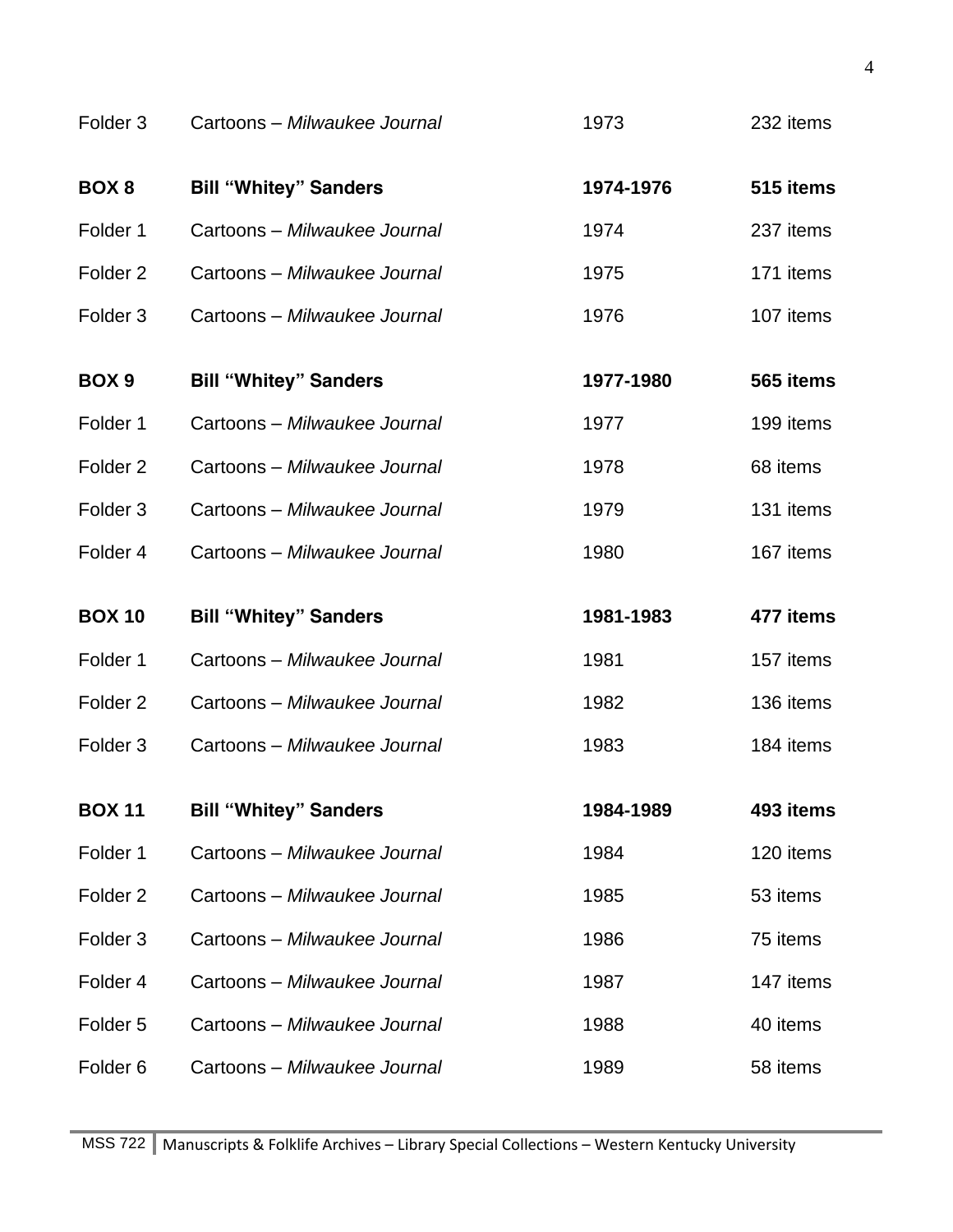| Folder <sub>3</sub> | Cartoons - Milwaukee Journal | 1973      | 232 items |
|---------------------|------------------------------|-----------|-----------|
| BOX <sub>8</sub>    | <b>Bill "Whitey" Sanders</b> | 1974-1976 | 515 items |
| Folder 1            | Cartoons - Milwaukee Journal | 1974      | 237 items |
| Folder <sub>2</sub> | Cartoons - Milwaukee Journal | 1975      | 171 items |
| Folder <sub>3</sub> | Cartoons - Milwaukee Journal | 1976      | 107 items |
| BOX <sub>9</sub>    | <b>Bill "Whitey" Sanders</b> | 1977-1980 | 565 items |
| Folder 1            | Cartoons - Milwaukee Journal | 1977      | 199 items |
| Folder <sub>2</sub> | Cartoons - Milwaukee Journal | 1978      | 68 items  |
| Folder <sub>3</sub> | Cartoons - Milwaukee Journal | 1979      | 131 items |
| Folder <sub>4</sub> | Cartoons - Milwaukee Journal | 1980      | 167 items |
|                     |                              |           |           |
| <b>BOX 10</b>       | <b>Bill "Whitey" Sanders</b> | 1981-1983 | 477 items |
| Folder 1            | Cartoons - Milwaukee Journal | 1981      | 157 items |
| Folder <sub>2</sub> | Cartoons - Milwaukee Journal | 1982      | 136 items |
| Folder <sub>3</sub> | Cartoons - Milwaukee Journal | 1983      | 184 items |
| <b>BOX 11</b>       | <b>Bill "Whitey" Sanders</b> | 1984-1989 | 493 items |
| Folder 1            | Cartoons - Milwaukee Journal | 1984      | 120 items |
| Folder <sub>2</sub> | Cartoons - Milwaukee Journal | 1985      | 53 items  |
| Folder <sub>3</sub> | Cartoons - Milwaukee Journal | 1986      | 75 items  |
| Folder 4            | Cartoons - Milwaukee Journal | 1987      | 147 items |
| Folder <sub>5</sub> | Cartoons - Milwaukee Journal | 1988      | 40 items  |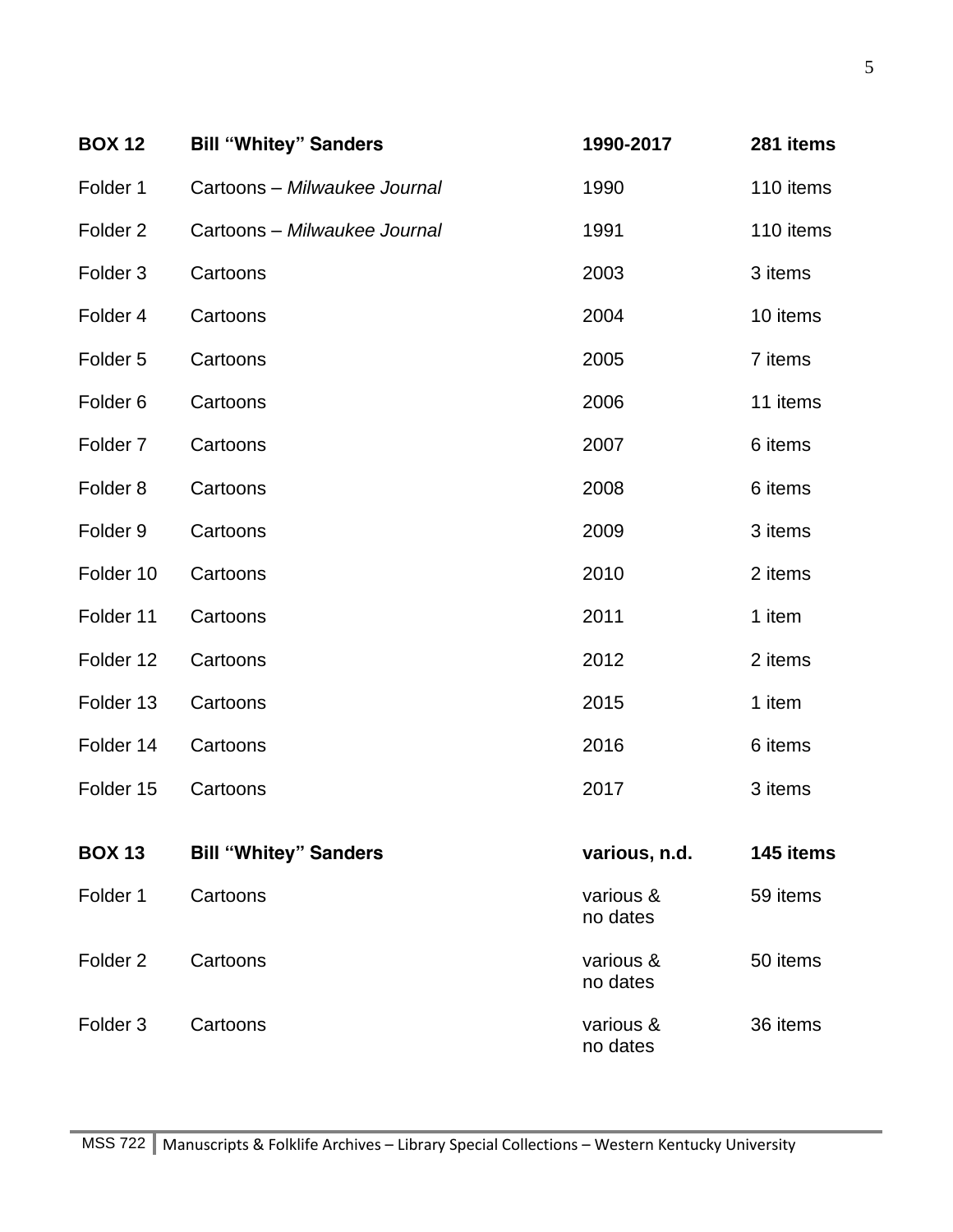| <b>BOX 12</b>       | <b>Bill "Whitey" Sanders</b> | 1990-2017             | 281 items |
|---------------------|------------------------------|-----------------------|-----------|
| Folder 1            | Cartoons - Milwaukee Journal | 1990                  | 110 items |
| Folder <sub>2</sub> | Cartoons - Milwaukee Journal | 1991                  | 110 items |
| Folder <sub>3</sub> | Cartoons                     | 2003                  | 3 items   |
| Folder 4            | Cartoons                     | 2004                  | 10 items  |
| Folder <sub>5</sub> | Cartoons                     | 2005                  | 7 items   |
| Folder <sub>6</sub> | Cartoons                     | 2006                  | 11 items  |
| Folder <sub>7</sub> | Cartoons                     | 2007                  | 6 items   |
| Folder <sub>8</sub> | Cartoons                     | 2008                  | 6 items   |
| Folder <sub>9</sub> | Cartoons                     | 2009                  | 3 items   |
| Folder 10           | Cartoons                     | 2010                  | 2 items   |
| Folder 11           | Cartoons                     | 2011                  | 1 item    |
| Folder 12           | Cartoons                     | 2012                  | 2 items   |
| Folder 13           | Cartoons                     | 2015                  | 1 item    |
| Folder 14           | Cartoons                     | 2016                  | 6 items   |
| Folder 15           | Cartoons                     | 2017                  | 3 items   |
| <b>BOX 13</b>       | <b>Bill "Whitey" Sanders</b> | various, n.d.         | 145 items |
| Folder 1            | Cartoons                     | various &<br>no dates | 59 items  |
| Folder <sub>2</sub> | Cartoons                     | various &<br>no dates | 50 items  |
| Folder <sub>3</sub> | Cartoons                     | various &<br>no dates | 36 items  |